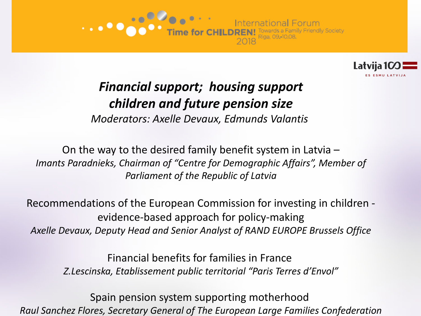



# *Financial support; housing support children and future pension size*

*Moderators: Axelle Devaux, Edmunds Valantis*

On the way to the desired family benefit system in Latvia – *Imants Paradnieks, Chairman of "Centre for Demographic Affairs", Member of Parliament of the Republic of Latvia*

Recommendations of the European Commission for investing in children evidence-based approach for policy-making *Axelle Devaux, Deputy Head and Senior Analyst of RAND EUROPE Brussels Office*

> Financial benefits for families in France *Z.Lescinska, Etablissement public territorial "Paris Terres d'Envol"*

Spain pension system supporting motherhood *Raul Sanchez Flores, Secretary General of The European Large Families Confederation*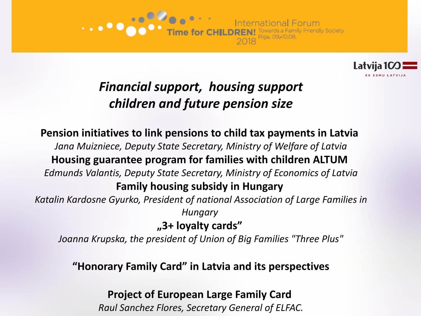



# *Financial support, housing support children and future pension size*

**Pension initiatives to link pensions to child tax payments in Latvia**  *Jana Muizniece, Deputy State Secretary, Ministry of Welfare of Latvia* **Housing guarantee program for families with children ALTUM**  *Edmunds Valantis, Deputy State Secretary, Ministry of Economics of Latvia* **Family housing subsidy in Hungary**  *Katalin Kardosne Gyurko, President of national Association of Large Families in Hungary*  **"3+ loyalty cards"** 

*Joanna Krupska, the president of Union of Big Families "Three Plus"*

#### **"Honorary Family Card" in Latvia and its perspectives**

**Project of European Large Family Card** 

*Raul Sanchez Flores, Secretary General of ELFAC.*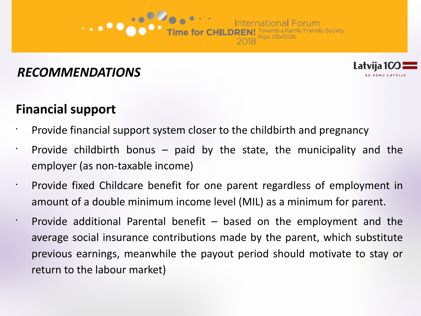### **Financial support**

 $\cdot$  Provide financial support system closer to the childbirth and pregnancy

Time for CHILDREN! Towards a Family Friendl<br>Time for CHILDREN! Towards a Family Friendl

**Friendly Society** 

Latvija 10

**ES ESMU LATVIJ** 

- Provide childbirth bonus  $-$  paid by the state, the municipality and the employer (as non-taxable income)
	- Provide fixed Childcare benefit for one parent regardless of employment in amount of a double minimum income level (MIL) as a minimum for parent.
		- Provide additional Parental benefit  $-$  based on the employment and the average social insurance contributions made by the parent, which substitute previous earnings, meanwhile the payout period should motivate to stay or return to the labour market)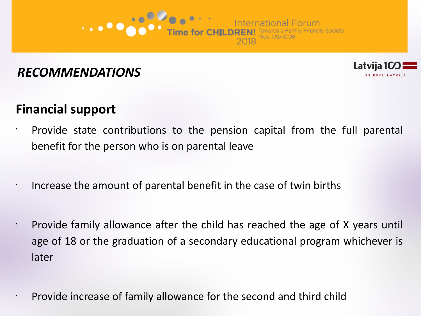



### **Financial support**

•

- Provide state contributions to the pension capital from the full parental benefit for the person who is on parental leave
	- Increase the amount of parental benefit in the case of twin births
	- Provide family allowance after the child has reached the age of X years until age of 18 or the graduation of a secondary educational program whichever is later

• Provide increase of family allowance for the second and third child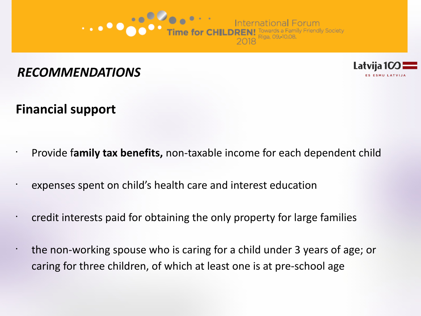



#### **Financial support**

- Provide f**amily tax benefits,** non-taxable income for each dependent child
- expenses spent on child's health care and interest education
- credit interests paid for obtaining the only property for large families
- the non-working spouse who is caring for a child under 3 years of age; or caring for three children, of which at least one is at pre-school age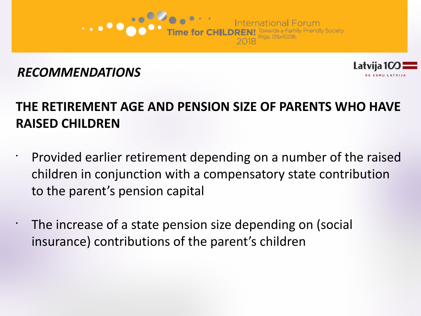



# **THE RETIREMENT AGE AND PENSION SIZE OF PARENTS WHO HAVE RAISED CHILDREN**

- Provided earlier retirement depending on a number of the raised children in conjunction with a compensatory state contribution to the parent's pension capital
- The increase of a state pension size depending on (social insurance) contributions of the parent's children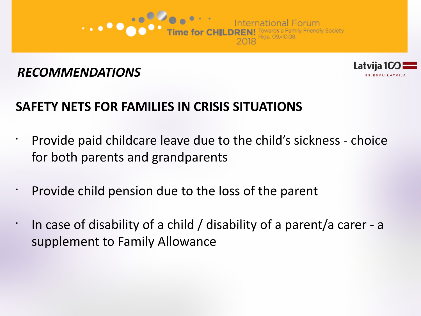



# **SAFETY NETS FOR FAMILIES IN CRISIS SITUATIONS**

- Provide paid childcare leave due to the child's sickness choice for both parents and grandparents
- Provide child pension due to the loss of the parent
- In case of disability of a child / disability of a parent/a carer - a supplement to Family Allowance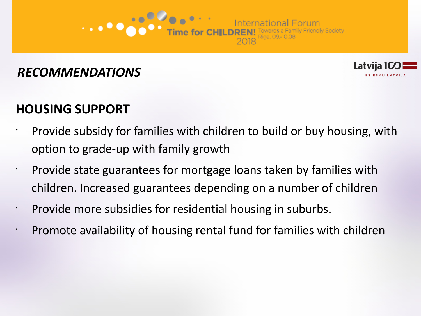

- Provide subsidy for families with children to build or buy housing, with option to grade-up with family growth
- Provide state guarantees for mortgage loans taken by families with children. Increased guarantees depending on a number of children
	- Provide more subsidies for residential housing in suburbs.
	- Promote availability of housing rental fund for families with children



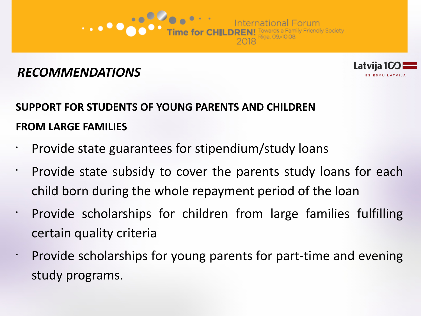



# **SUPPORT FOR STUDENTS OF YOUNG PARENTS AND CHILDREN FROM LARGE FAMILIES**

- Provide state guarantees for stipendium/study loans
- $\cdot$  Provide state subsidy to cover the parents study loans for each child born during the whole repayment period of the loan
- Provide scholarships for children from large families fulfilling certain quality criteria
- Provide scholarships for young parents for part-time and evening study programs.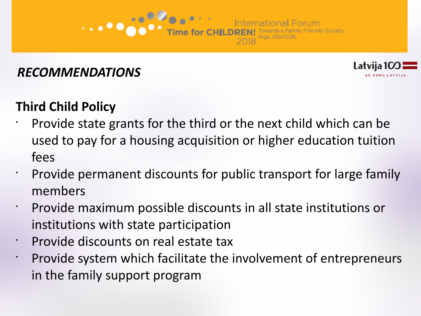# **Third Child Policy**

• Provide state grants for the third or the next child which can be used to pay for a housing acquisition or higher education tuition fees

Latvija

- $\cdot$  Provide permanent discounts for public transport for large family members
- Provide maximum possible discounts in all state institutions or institutions with state participation
- Provide discounts on real estate tax
- Provide system which facilitate the involvement of entrepreneurs in the family support program